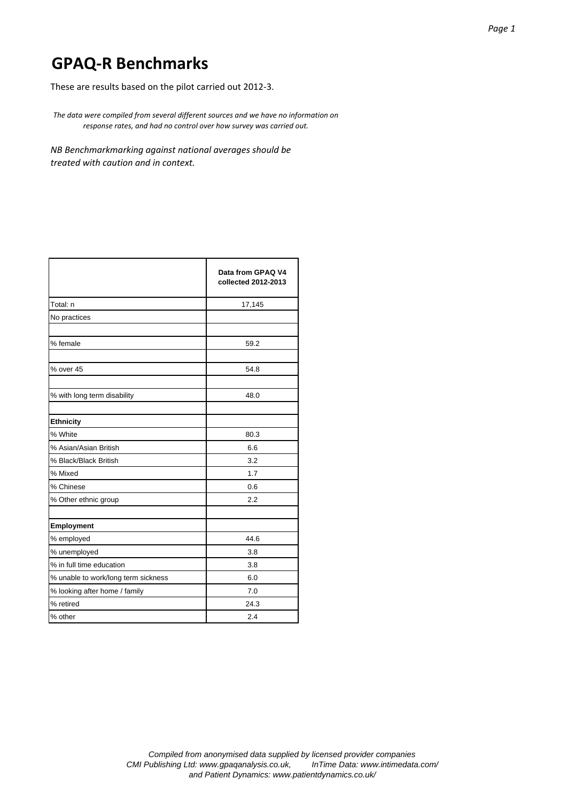These are results based on the pilot carried out 2012‐3.

*The data were compiled from several different sources and we have no information on response rates, and had no control over how survey was carried out.*

*NB Benchmarkmarking against national averages should be treated with caution and in context.*

|                                     | Data from GPAQ V4<br>collected 2012-2013 |
|-------------------------------------|------------------------------------------|
| Total: n                            | 17,145                                   |
| No practices                        |                                          |
| % female                            | 59.2                                     |
| % over 45                           | 54.8                                     |
| % with long term disability         | 48.0                                     |
| <b>Ethnicity</b>                    |                                          |
| % White                             | 80.3                                     |
| % Asian/Asian British               | 6.6                                      |
| % Black/Black British               | 3.2                                      |
| % Mixed                             | 1.7                                      |
| % Chinese                           | 0.6                                      |
| % Other ethnic group                | 2.2                                      |
| Employment                          |                                          |
| % employed                          | 44.6                                     |
| % unemployed                        | 3.8                                      |
| % in full time education            | 3.8                                      |
| % unable to work/long term sickness | 6.0                                      |
| % looking after home / family       | 7.0                                      |
| % retired                           | 24.3                                     |
| % other                             | 2.4                                      |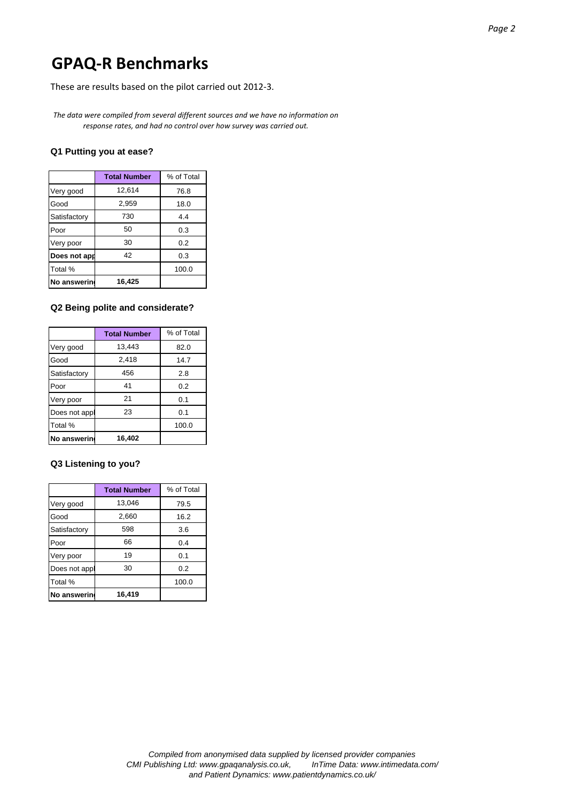These are results based on the pilot carried out 2012‐3.

*The data were compiled from several different sources and we have no information on response rates, and had no control over how survey was carried out.*

### **Q1 Putting you at ease?**

|              | <b>Total Number</b> | % of Total |
|--------------|---------------------|------------|
| Very good    | 12,614              | 76.8       |
| Good         | 2,959               | 18.0       |
| Satisfactory | 730                 | 4.4        |
| Poor         | 50                  | 0.3        |
| Very poor    | 30                  | 0.2        |
| Does not app | 42                  | 0.3        |
| Total %      |                     | 100.0      |
| No answerin  | 16,425              |            |

#### **Q2 Being polite and considerate?**

|               | <b>Total Number</b> | % of Total |
|---------------|---------------------|------------|
| Very good     | 13,443              | 82.0       |
| Good          | 2,418               | 14.7       |
| Satisfactory  | 456                 | 2.8        |
| Poor          | 41                  | 0.2        |
| Very poor     | 21                  | 0.1        |
| Does not appl | 23                  | 0.1        |
| Total %       |                     | 100.0      |
| No answerin   | 16,402              |            |

# **Q3 Listening to you?**

|               | <b>Total Number</b> | % of Total |
|---------------|---------------------|------------|
| Very good     | 13,046              | 79.5       |
| Good          | 2,660               | 16.2       |
| Satisfactory  | 598                 | 3.6        |
| Poor          | 66                  | 0.4        |
| Very poor     | 19                  | 0.1        |
| Does not appl | 30                  | 0.2        |
| Total %       |                     | 100.0      |
| No answerin   | 16,419              |            |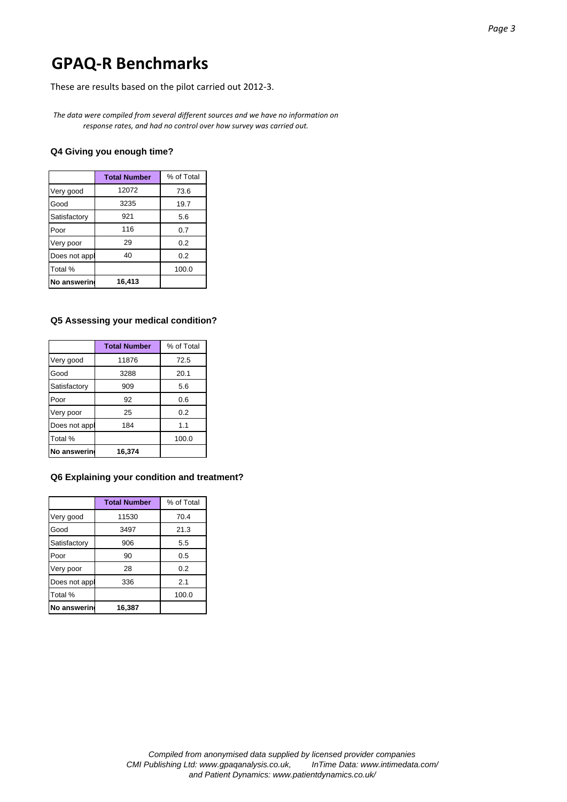These are results based on the pilot carried out 2012‐3.

*The data were compiled from several different sources and we have no information on response rates, and had no control over how survey was carried out.*

#### **Q4 Giving you enough time?**

|               | <b>Total Number</b> | % of Total |
|---------------|---------------------|------------|
| Very good     | 12072               | 73.6       |
| Good          | 3235                | 19.7       |
| Satisfactory  | 921                 | 5.6        |
| Poor          | 116                 | 0.7        |
| Very poor     | 29                  | 0.2        |
| Does not appl | 40                  | 0.2        |
| Total %       |                     | 100.0      |
| No answerin   | 16,413              |            |

#### **Q5 Assessing your medical condition?**

|               | <b>Total Number</b> | % of Total |
|---------------|---------------------|------------|
| Very good     | 11876               | 72.5       |
| Good          | 3288                | 20.1       |
| Satisfactory  | 909                 | 5.6        |
| Poor          | 92                  | 0.6        |
| Very poor     | 25                  | 0.2        |
| Does not appl | 184                 | 1.1        |
| Total %       |                     | 100.0      |
| No answerin   | 16,374              |            |

### **Q6 Explaining your condition and treatment?**

|               | <b>Total Number</b> | % of Total |
|---------------|---------------------|------------|
| Very good     | 11530               | 70.4       |
| Good          | 3497                | 21.3       |
| Satisfactory  | 906                 | 5.5        |
| Poor          | 90                  | 0.5        |
| Very poor     | 28                  | 0.2        |
| Does not appl | 336                 | 2.1        |
| Total %       |                     | 100.0      |
| No answerin   | 16,387              |            |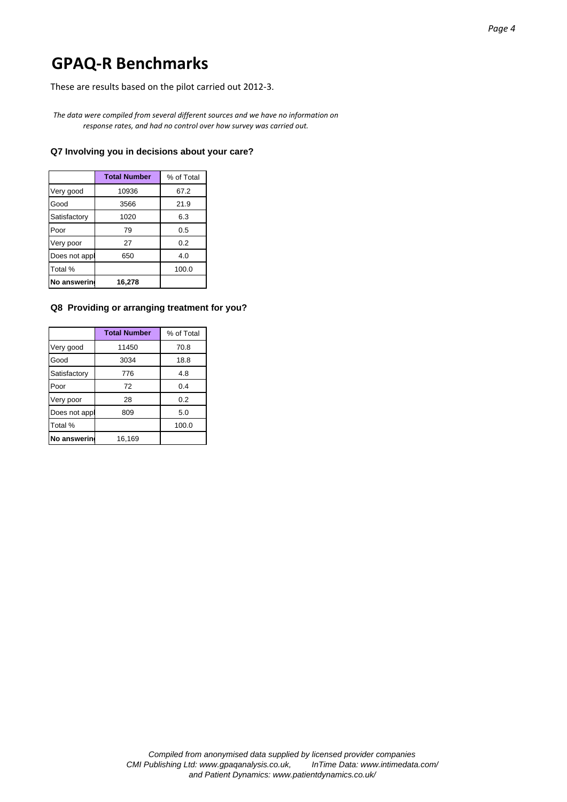These are results based on the pilot carried out 2012‐3.

*The data were compiled from several different sources and we have no information on response rates, and had no control over how survey was carried out.*

#### **Q7 Involving you in decisions about your care?**

|               | <b>Total Number</b> | % of Total |
|---------------|---------------------|------------|
| Very good     | 10936               | 67.2       |
| Good          | 3566                | 21.9       |
| Satisfactory  | 1020                | 6.3        |
| Poor          | 79                  | 0.5        |
| Very poor     | 27                  | 0.2        |
| Does not appl | 650                 | 4.0        |
| Total %       |                     | 100.0      |
| No answerin   | 16.278              |            |

### **Q8 Providing or arranging treatment for you?**

|                    | <b>Total Number</b> | % of Total |
|--------------------|---------------------|------------|
| Very good          | 11450               | 70.8       |
| Good               | 3034                | 18.8       |
| Satisfactory       | 776                 | 4.8        |
| Poor               | 72                  | 0.4        |
| Very poor          | 28                  | 0.2        |
| Does not appl      | 809                 | 5.0        |
| Total %            |                     | 100.0      |
| <b>No answerin</b> | 16.169              |            |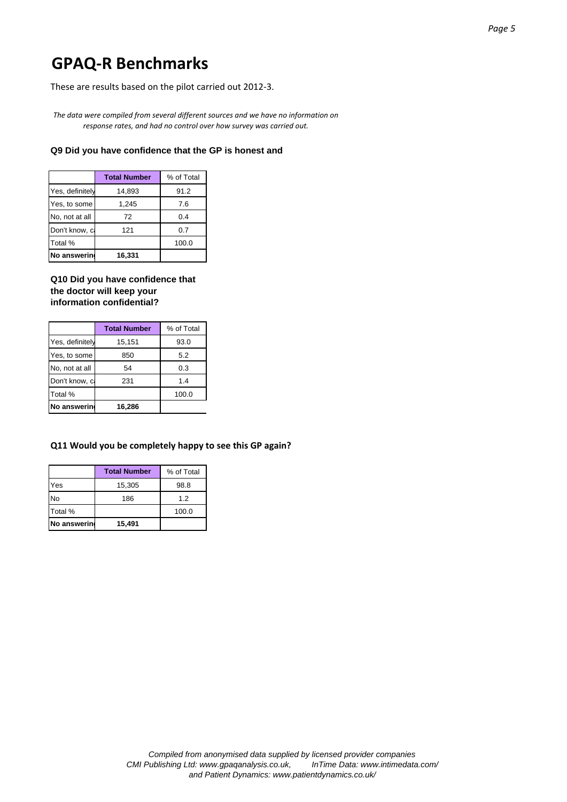These are results based on the pilot carried out 2012‐3.

*The data were compiled from several different sources and we have no information on response rates, and had no control over how survey was carried out.*

#### **Q9 Did you have confidence that the GP is honest and**

|                 | <b>Total Number</b> | % of Total |
|-----------------|---------------------|------------|
| Yes, definitely | 14,893              | 91.2       |
| Yes, to some    | 1,245               | 7.6        |
| No, not at all  | 72                  | 0.4        |
| Don't know, c   | 121                 | 0.7        |
| Total %         |                     | 100.0      |
| No answering    | 16,331              |            |

**Q10 Did you have confidence that the doctor will keep your information confidential?**

|                 | <b>Total Number</b> | % of Total |
|-----------------|---------------------|------------|
| Yes, definitely | 15,151              | 93.0       |
| Yes, to some    | 850                 | 5.2        |
| No, not at all  | 54                  | 0.3        |
| Don't know, c   | 231                 | 1.4        |
| Total %         |                     | 100.0      |
| No answerin     | 16,286              |            |

### **Q11 Would you be completely happy to see this GP again?**

|             | <b>Total Number</b> | % of Total |
|-------------|---------------------|------------|
| Yes         | 15,305              | 98.8       |
| <b>No</b>   | 186                 | 1.2        |
| Total %     |                     | 100.0      |
| No answerin | 15,491              |            |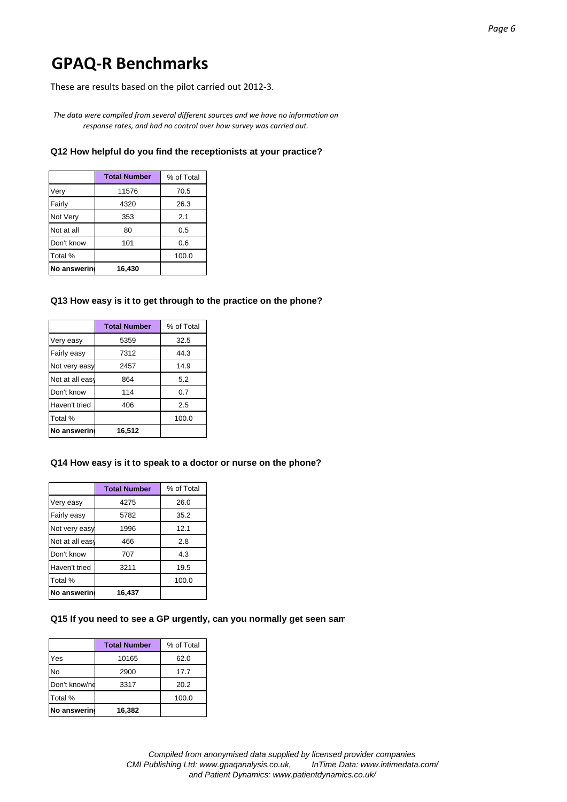These are results based on the pilot carried out 2012‐3.

*The data were compiled from several different sources and we have no information on response rates, and had no control over how survey was carried out.*

# **Q12 How helpful do you find the receptionists at your practice?**

|             | <b>Total Number</b> | % of Total |
|-------------|---------------------|------------|
| Very        | 11576               | 70.5       |
| Fairly      | 4320                | 26.3       |
| Not Very    | 353                 | 2.1        |
| Not at all  | 80                  | 0.5        |
| Don't know  | 101                 | 0.6        |
| Total %     |                     | 100.0      |
| No answerin | 16,430              |            |

# **Q13 How easy is it to get through to the practice on the phone?**

|                 | <b>Total Number</b> | % of Total |
|-----------------|---------------------|------------|
| Very easy       | 5359                | 32.5       |
| Fairly easy     | 7312                | 44.3       |
| Not very easy   | 2457                | 14.9       |
| Not at all easy | 864                 | 5.2        |
| Don't know      | 114                 | 0.7        |
| Haven't tried   | 406                 | 2.5        |
| Total %         |                     | 100.0      |
| No answerin     | 16,512              |            |

#### **Q14 How easy is it to speak to a doctor or nurse on the phone?**

|                 | <b>Total Number</b> | % of Total |
|-----------------|---------------------|------------|
| Very easy       | 4275                | 26.0       |
| Fairly easy     | 5782                | 35.2       |
| Not very easy   | 1996                | 12.1       |
| Not at all easy | 466                 | 2.8        |
| Don't know      | 707                 | 4.3        |
| Haven't tried   | 3211                | 19.5       |
| Total %         |                     | 100.0      |
| No answerin     | 16,437              |            |

#### **Q15 If you need to see a GP urgently, can you normally get seen sam**

|               | <b>Total Number</b> | % of Total |
|---------------|---------------------|------------|
| Yes           | 10165               | 62.0       |
| <b>No</b>     | 2900                | 17.7       |
| Don't know/ne | 3317                | 20.2       |
| Total %       |                     | 100.0      |
| No answering  | 16,382              |            |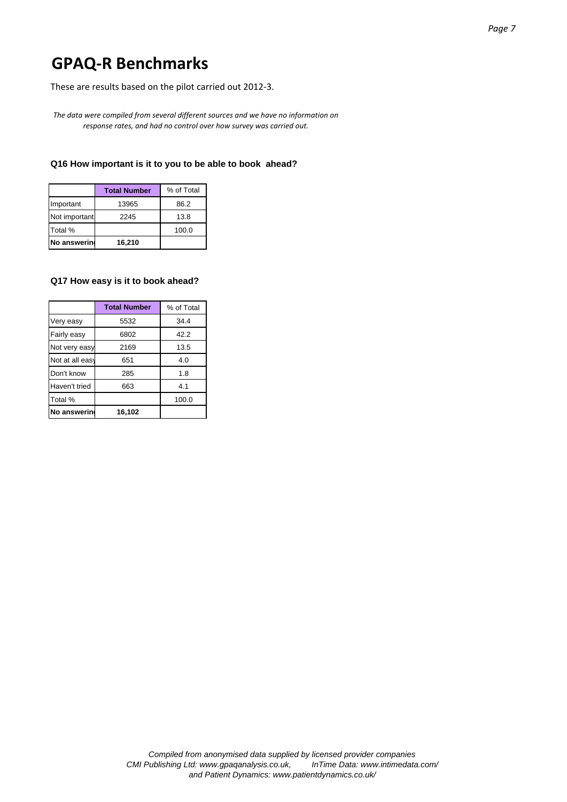These are results based on the pilot carried out 2012‐3.

*The data were compiled from several different sources and we have no information on response rates, and had no control over how survey was carried out.*

# **Q16 How important is it to you to be able to book ahead?**

|               | <b>Total Number</b> | % of Total |
|---------------|---------------------|------------|
| Important     | 13965               | 86.2       |
| Not important | 2245                | 13.8       |
| Total %       |                     | 100.0      |
| No answering  | 16,210              |            |

#### **Q17 How easy is it to book ahead?**

|                 | <b>Total Number</b> | % of Total |
|-----------------|---------------------|------------|
| Very easy       | 5532                | 34.4       |
| Fairly easy     | 6802                | 42.2       |
| Not very easy   | 2169                | 13.5       |
| Not at all easy | 651                 | 4.0        |
| Don't know      | 285                 | 1.8        |
| Haven't tried   | 663                 | 4.1        |
| Total %         |                     | 100.0      |
| No answerin     | 16,102              |            |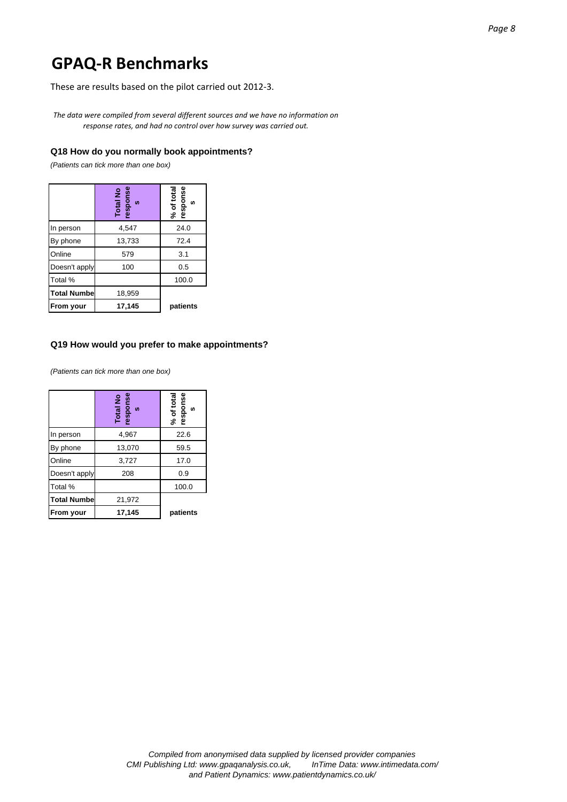These are results based on the pilot carried out 2012‐3.

*The data were compiled from several different sources and we have no information on response rates, and had no control over how survey was carried out.*

### **Q18 How do you normally book appointments?**

*(Patients can tick more than one box)*

|                    | Total No<br>response<br>$\boldsymbol{v}$ | % of total<br>response<br><b>S</b> |
|--------------------|------------------------------------------|------------------------------------|
| In person          | 4,547                                    | 24.0                               |
| By phone           | 13,733                                   | 72.4                               |
| Online             | 579                                      | 3.1                                |
| Doesn't apply      | 100                                      | 0.5                                |
| Total %            |                                          | 100.0                              |
| <b>Total Numbe</b> | 18,959                                   |                                    |
| <b>From your</b>   | 17,145                                   | patients                           |

#### **Q19 How would you prefer to make appointments?**

*(Patients can tick more than one box)*

|                    | Total No<br>response<br><b>S</b> | % of total<br>response<br><b>SC</b> |
|--------------------|----------------------------------|-------------------------------------|
| In person          | 4,967                            | 22.6                                |
| By phone           | 13,070                           | 59.5                                |
| Online             | 3,727                            | 17.0                                |
| Doesn't apply      | 208                              | 0.9                                 |
| Total %            |                                  | 100.0                               |
| <b>Total Numbe</b> | 21,972                           |                                     |
| <b>From your</b>   | 17,145                           | patients                            |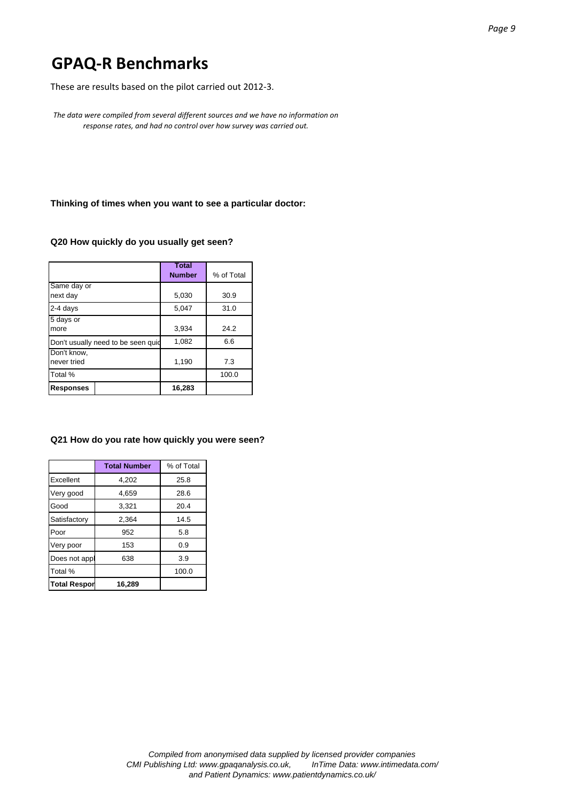These are results based on the pilot carried out 2012‐3.

*The data were compiled from several different sources and we have no information on response rates, and had no control over how survey was carried out.*

**Thinking of times when you want to see a particular doctor:** 

# **Q20 How quickly do you usually get seen?**

|                                     | <b>Total</b><br><b>Number</b> | % of Total |
|-------------------------------------|-------------------------------|------------|
| Same day or<br>next day             | 5,030                         | 30.9       |
| 2-4 days                            | 5.047                         | 31.0       |
| 5 days or<br>more                   | 3,934                         | 24.2       |
| Don't usually need to be seen quide | 1,082                         | 6.6        |
| Don't know,<br>never tried          | 1,190                         | 7.3        |
| Total %                             |                               | 100.0      |
| <b>Responses</b>                    | 16,283                        |            |

#### **Q21 How do you rate how quickly you were seen?**

|                     | <b>Total Number</b> | % of Total |
|---------------------|---------------------|------------|
| Excellent           | 4,202               | 25.8       |
| Very good           | 4.659               | 28.6       |
| Good                | 3,321               | 20.4       |
| Satisfactory        | 2,364               | 14.5       |
| Poor                | 952                 | 5.8        |
| Very poor           | 153                 | 0.9        |
| Does not appl       | 638                 | 3.9        |
| Total %             |                     | 100.0      |
| <b>Total Respor</b> | 16,289              |            |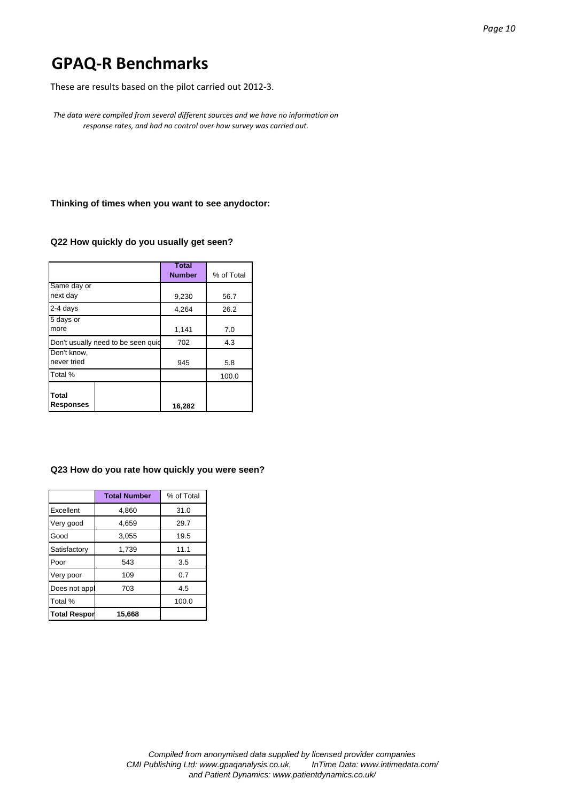These are results based on the pilot carried out 2012‐3.

*The data were compiled from several different sources and we have no information on response rates, and had no control over how survey was carried out.*

**Thinking of times when you want to see anydoctor:** 

# **Q22 How quickly do you usually get seen?**

|                                    | <b>Total</b><br><b>Number</b> | % of Total |
|------------------------------------|-------------------------------|------------|
| Same day or<br>next day            | 9,230                         | 56.7       |
| 2-4 days                           | 4,264                         | 26.2       |
| 5 days or<br>more                  | 1,141                         | 7.0        |
| Don't usually need to be seen quid | 702                           | 4.3        |
| Don't know,<br>never tried         | 945                           | 5.8        |
| Total %                            |                               | 100.0      |
| Total<br><b>Responses</b>          | 16,282                        |            |

#### **Q23 How do you rate how quickly you were seen?**

|                     | <b>Total Number</b> | % of Total |
|---------------------|---------------------|------------|
| Excellent           | 4,860               | 31.0       |
| Very good           | 4.659               | 29.7       |
| Good                | 3,055               | 19.5       |
| Satisfactory        | 1,739               | 11.1       |
| Poor                | 543                 | 3.5        |
| Very poor           | 109                 | 0.7        |
| Does not appl       | 703                 | 4.5        |
| Total %             |                     | 100.0      |
| <b>Total Respor</b> | 15,668              |            |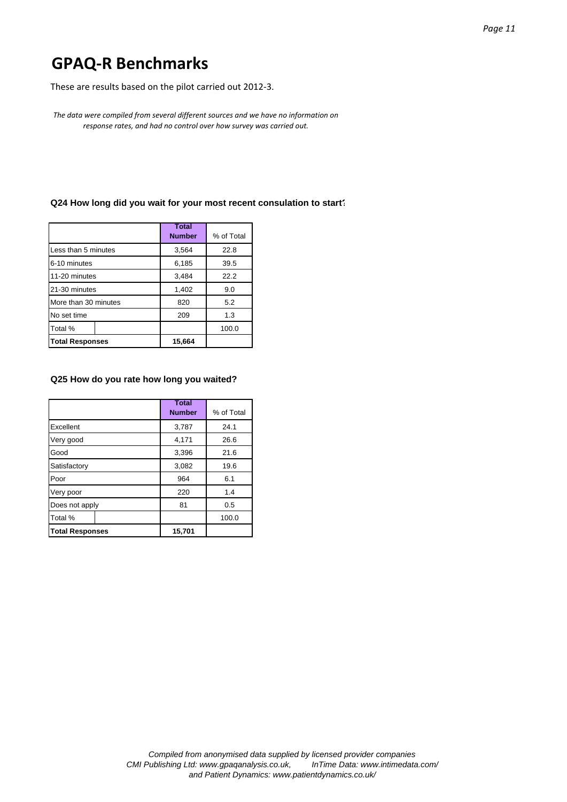These are results based on the pilot carried out 2012‐3.

*The data were compiled from several different sources and we have no information on response rates, and had no control over how survey was carried out.*

### **Q24 How long did you wait for your most recent consulation to start?**

|                        |  | <b>Total</b><br><b>Number</b> | % of Total |
|------------------------|--|-------------------------------|------------|
| Less than 5 minutes    |  | 3,564                         | 22.8       |
| 6-10 minutes           |  | 6,185                         | 39.5       |
| 11-20 minutes          |  | 3,484                         | 22.2       |
| 21-30 minutes          |  | 1,402                         | 9.0        |
| More than 30 minutes   |  | 820                           | 5.2        |
| No set time            |  | 209                           | 1.3        |
| Total %                |  |                               | 100.0      |
| <b>Total Responses</b> |  | 15,664                        |            |

### **Q25 How do you rate how long you waited?**

|                        | <b>Total</b><br><b>Number</b> | % of Total |
|------------------------|-------------------------------|------------|
|                        |                               |            |
| Excellent              | 3,787                         | 24.1       |
| Very good              | 4,171                         | 26.6       |
| Good                   | 3,396                         | 21.6       |
| Satisfactory           | 3,082                         | 19.6       |
| Poor                   | 964                           | 6.1        |
| Very poor              | 220                           | 1.4        |
| Does not apply         | 81                            | 0.5        |
| Total %                |                               | 100.0      |
| <b>Total Responses</b> | 15,701                        |            |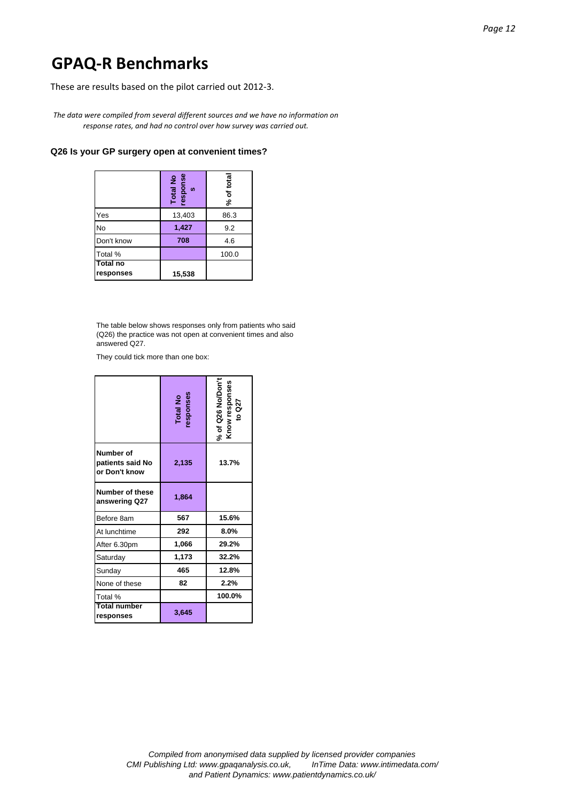These are results based on the pilot carried out 2012‐3.

*The data were compiled from several different sources and we have no information on response rates, and had no control over how survey was carried out.*

### **Q26 Is your GP surgery open at convenient times?**

|                              | Total No<br>response<br><b>SC</b> | % of total |
|------------------------------|-----------------------------------|------------|
| Yes                          | 13,403                            | 86.3       |
| <b>No</b>                    | 1,427                             | 9.2        |
| Don't know                   | 708                               | 4.6        |
| Total %                      |                                   | 100.0      |
| <b>Total no</b><br>responses | 15,538                            |            |

The table below shows responses only from patients who said (Q26) the practice was not open at convenient times and also answered Q27.

They could tick more than one box:

|                                                | Total No<br>responses | % of Q26 No/Don't<br>Know responses<br>to Q27 |
|------------------------------------------------|-----------------------|-----------------------------------------------|
| Number of<br>patients said No<br>or Don't know | 2,135                 | 13.7%                                         |
| Number of these<br>answering Q27               | 1,864                 |                                               |
| Before 8am                                     | 567                   | 15.6%                                         |
| At lunchtime                                   | 292                   | 8.0%                                          |
| After 6.30pm                                   | 1,066                 | 29.2%                                         |
| Saturday                                       | 1,173                 | 32.2%                                         |
| Sunday                                         | 465                   | 12.8%                                         |
| None of these                                  | 82                    | 2.2%                                          |
| Total %                                        |                       | 100.0%                                        |
| <b>Total number</b><br>responses               | 3,645                 |                                               |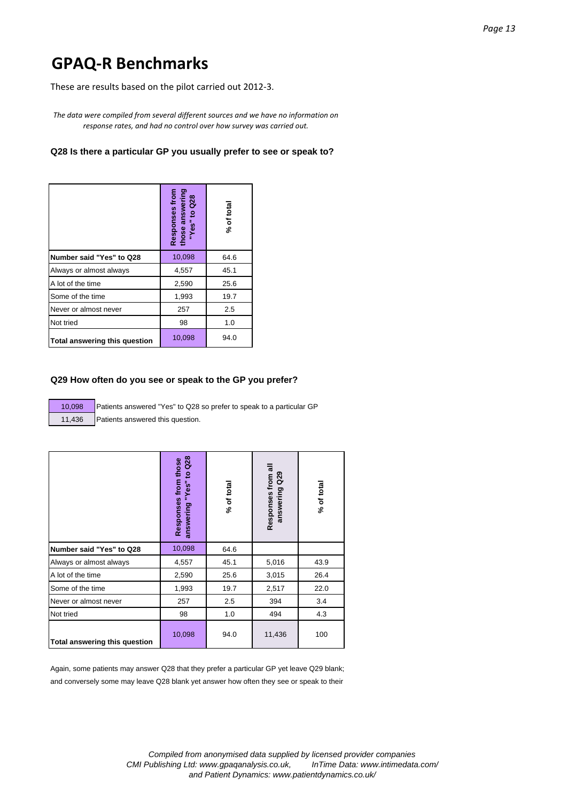These are results based on the pilot carried out 2012‐3.

*The data were compiled from several different sources and we have no information on response rates, and had no control over how survey was carried out.*

# **Q28 Is there a particular GP you usually prefer to see or speak to?**

|                               | those answering<br>Responses from<br>to $Q28$<br>"Yes" | % of total |
|-------------------------------|--------------------------------------------------------|------------|
| Number said "Yes" to Q28      | 10,098                                                 | 64.6       |
| Always or almost always       | 4,557                                                  | 45.1       |
| A lot of the time             | 2,590                                                  | 25.6       |
| Some of the time              | 1,993                                                  | 19.7       |
| Never or almost never         | 257                                                    | 2.5        |
| Not tried                     | 98                                                     | 1.0        |
| Total answering this question | 10,098                                                 | 94.0       |

#### **Q29 How often do you see or speak to the GP you prefer?**

10,098 Patients answered "Yes" to Q28 so prefer to speak to a particular GP 11,436 Patients answered this question.

|                               | Q28<br>Responses from those<br>$\mathbf{Q}$<br>"Yes"<br>answering | % of total | Responses from all<br>$\frac{29}{2}$<br>answering | % of total |
|-------------------------------|-------------------------------------------------------------------|------------|---------------------------------------------------|------------|
| Number said "Yes" to Q28      | 10,098                                                            | 64.6       |                                                   |            |
| Always or almost always       | 4,557                                                             | 45.1       | 5,016                                             | 43.9       |
| A lot of the time             | 2,590                                                             | 25.6       | 3,015                                             | 26.4       |
| Some of the time              | 1,993                                                             | 19.7       | 2,517                                             | 22.0       |
| Never or almost never         | 257                                                               | 2.5        | 394                                               | 3.4        |
| Not tried                     | 98                                                                | 1.0        | 494                                               | 4.3        |
| Total answering this question | 10,098                                                            | 94.0       | 11,436                                            | 100        |

Again, some patients may answer Q28 that they prefer a particular GP yet leave Q29 blank; and conversely some may leave Q28 blank yet answer how often they see or speak to their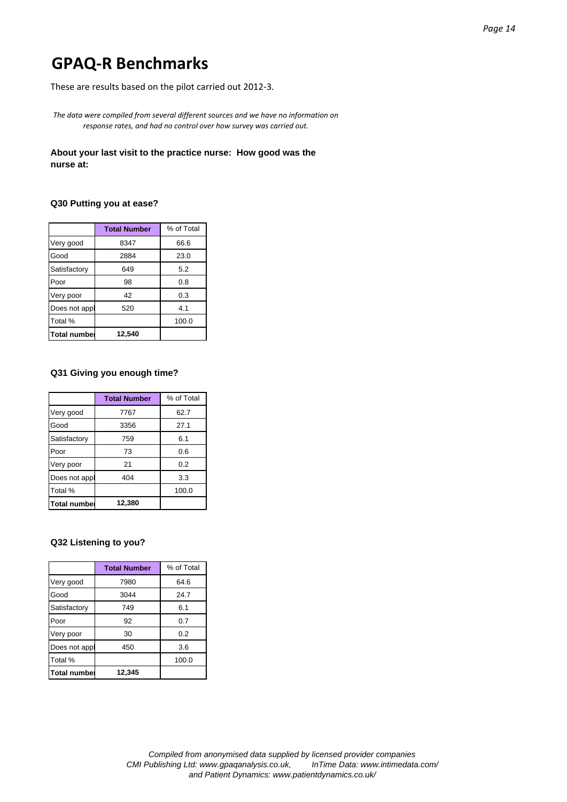These are results based on the pilot carried out 2012‐3.

*The data were compiled from several different sources and we have no information on response rates, and had no control over how survey was carried out.*

## **About your last visit to the practice nurse: How good was the nurse at:**

## **Q30 Putting you at ease?**

|                     | <b>Total Number</b> | % of Total |
|---------------------|---------------------|------------|
| Very good           | 8347                | 66.6       |
| Good                | 2884                | 23.0       |
| Satisfactory        | 649                 | 5.2        |
| Poor                | 98                  | 0.8        |
| Very poor           | 42                  | 0.3        |
| Does not appl       | 520                 | 4.1        |
| Total %             |                     | 100.0      |
| <b>Total numbel</b> | 12.540              |            |

# **Q31 Giving you enough time?**

|                     | <b>Total Number</b> | % of Total |
|---------------------|---------------------|------------|
| Very good           | 7767                | 62.7       |
| Good                | 3356                | 27.1       |
| Satisfactory        | 759                 | 6.1        |
| Poor                | 73                  | 0.6        |
| Very poor           | 21                  | 0.2        |
| Does not appl       | 404                 | 3.3        |
| Total %             |                     | 100.0      |
| <b>Total number</b> | 12,380              |            |

#### **Q32 Listening to you?**

|                     | <b>Total Number</b> | % of Total |
|---------------------|---------------------|------------|
| Very good           | 7980                | 64.6       |
| Good                | 3044                | 24.7       |
| Satisfactory        | 749                 | 6.1        |
| Poor                | 92                  | 0.7        |
| Very poor           | 30                  | 0.2        |
| Does not appl       | 450                 | 3.6        |
| Total %             |                     | 100.0      |
| <b>Total number</b> | 12,345              |            |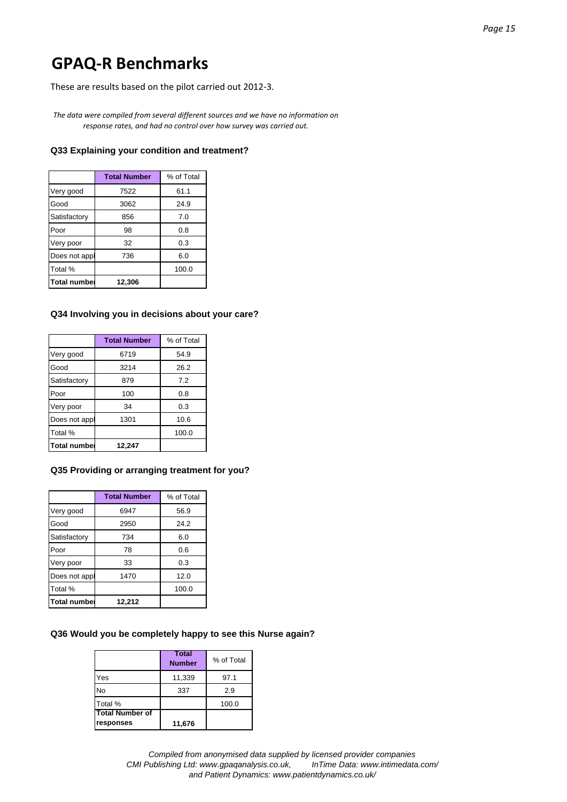These are results based on the pilot carried out 2012‐3.

*The data were compiled from several different sources and we have no information on response rates, and had no control over how survey was carried out.*

#### **Q33 Explaining your condition and treatment?**

|                     | <b>Total Number</b> | % of Total |
|---------------------|---------------------|------------|
| Very good           | 7522                | 61.1       |
| Good                | 3062                | 24.9       |
| Satisfactory        | 856                 | 7.0        |
| Poor                | 98                  | 0.8        |
| Very poor           | 32                  | 0.3        |
| Does not appl       | 736                 | 6.0        |
| Total %             |                     | 100.0      |
| <b>Total number</b> | 12.306              |            |

#### **Q34 Involving you in decisions about your care?**

|                     | <b>Total Number</b> | % of Total |
|---------------------|---------------------|------------|
| Very good           | 6719                | 54.9       |
| Good                | 3214                | 26.2       |
| Satisfactory        | 879                 | 7.2        |
| Poor                | 100                 | 0.8        |
| Very poor           | 34                  | 0.3        |
| Does not appl       | 1301                | 10.6       |
| Total %             |                     | 100.0      |
| <b>Total numbel</b> | 12.247              |            |

#### **Q35 Providing or arranging treatment for you?**

|                     | <b>Total Number</b> | % of Total |
|---------------------|---------------------|------------|
| Very good           | 6947                | 56.9       |
| Good                | 2950                | 24.2       |
| Satisfactory        | 734                 | 6.0        |
| Poor                | 78                  | 0.6        |
| Very poor           | 33                  | 0.3        |
| Does not appl       | 1470                | 12.0       |
| Total %             |                     | 100.0      |
| <b>Total number</b> | 12,212              |            |

#### **Q36 Would you be completely happy to see this Nurse again?**

|                                     | <b>Total</b><br><b>Number</b> | % of Total |
|-------------------------------------|-------------------------------|------------|
| Yes                                 | 11,339                        | 97.1       |
| No                                  | 337                           | 2.9        |
| Total %                             |                               | 100.0      |
| <b>Total Number of</b><br>responses | 11,676                        |            |

*Compiled from anonymised data supplied by licensed provider companies CMI Publishing Ltd: www.gpaqanalysis.co.uk, InTime Data: www.intimedata.com/ and Patient Dynamics: www.patientdynamics.co.uk/*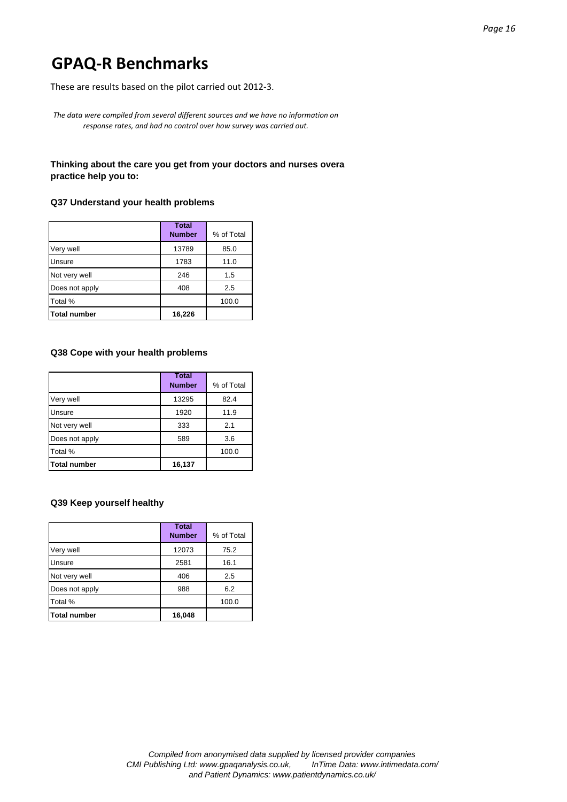These are results based on the pilot carried out 2012‐3.

*The data were compiled from several different sources and we have no information on response rates, and had no control over how survey was carried out.*

# **Thinking about the care you get from your doctors and nurses overa practice help you to:**

### **Q37 Understand your health problems**

|                | <b>Total</b><br><b>Number</b> | % of Total |
|----------------|-------------------------------|------------|
| Very well      | 13789                         | 85.0       |
| Unsure         | 1783                          | 11.0       |
| Not very well  | 246                           | 1.5        |
| Does not apply | 408                           | 2.5        |
| Total %        |                               | 100.0      |
| Total number   | 16,226                        |            |

#### **Q38 Cope with your health problems**

|                | <b>Total</b><br><b>Number</b> | % of Total |
|----------------|-------------------------------|------------|
| Very well      | 13295                         | 82.4       |
| Unsure         | 1920                          | 11.9       |
| Not very well  | 333                           | 2.1        |
| Does not apply | 589                           | 3.6        |
| Total %        |                               | 100.0      |
| Total number   | 16,137                        |            |

# **Q39 Keep yourself healthy**

|                     | <b>Total</b><br><b>Number</b> | % of Total |
|---------------------|-------------------------------|------------|
| Very well           | 12073                         | 75.2       |
| Unsure              | 2581                          | 16.1       |
| Not very well       | 406                           | 2.5        |
| Does not apply      | 988                           | 6.2        |
| Total %             |                               | 100.0      |
| <b>Total number</b> | 16,048                        |            |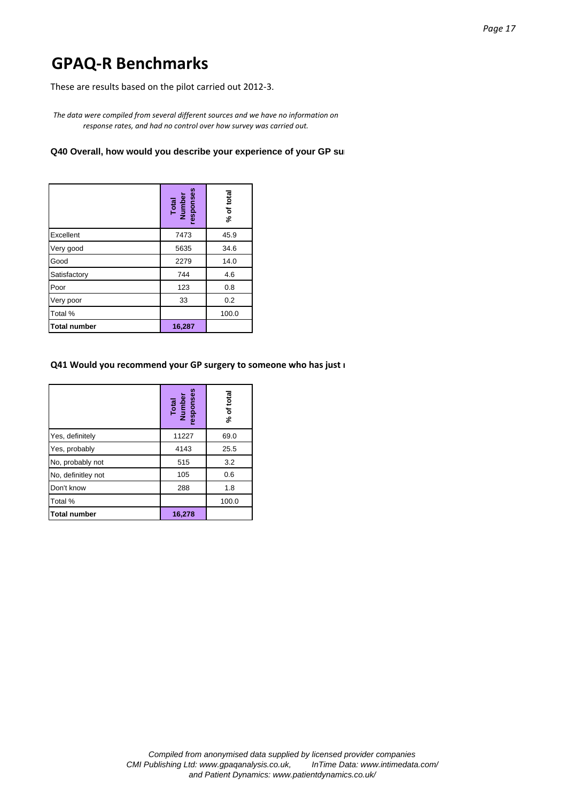These are results based on the pilot carried out 2012‐3.

*The data were compiled from several different sources and we have no information on response rates, and had no control over how survey was carried out.*

# **Q40 Overall, how would you describe your experience of your GP sur**

|                     | Total<br>Number<br>responses | % of total |
|---------------------|------------------------------|------------|
| Excellent           | 7473                         | 45.9       |
| Very good           | 5635                         | 34.6       |
| Good                | 2279                         | 14.0       |
| Satisfactory        | 744                          | 4.6        |
| Poor                | 123                          | 0.8        |
| Very poor           | 33                           | 0.2        |
| Total %             |                              | 100.0      |
| <b>Total number</b> | 16,287                       |            |

### **Q41 Would you recommend your GP surgery to someone who has just m**

|                     | Total<br>Number<br>responses | % of total |
|---------------------|------------------------------|------------|
| Yes, definitely     | 11227                        | 69.0       |
| Yes, probably       | 4143                         | 25.5       |
| No, probably not    | 515                          | 3.2        |
| No, definitley not  | 105                          | 0.6        |
| Don't know          | 288                          | 1.8        |
| Total %             |                              | 100.0      |
| <b>Total number</b> | 16,278                       |            |